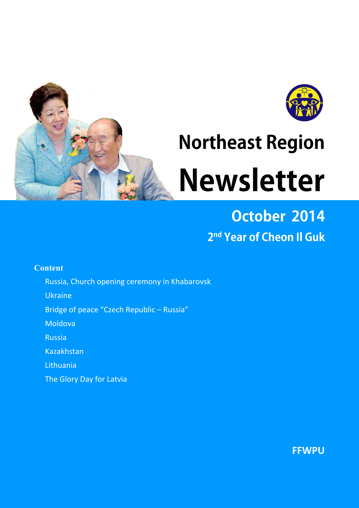

# **Northeast Region Newsletter**

# October 2014 2<sup>nd</sup> Year of Cheon II Guk

# **Content**

- Russia, Church opening ceremony in Khabarovsk
- Ukraine
- Bridge of peace "Czech Republic Russia"
- Moldova
- Russia
- Kazakhstan
- Lithuania
- The Glory Day for Latvia

**FFWPU**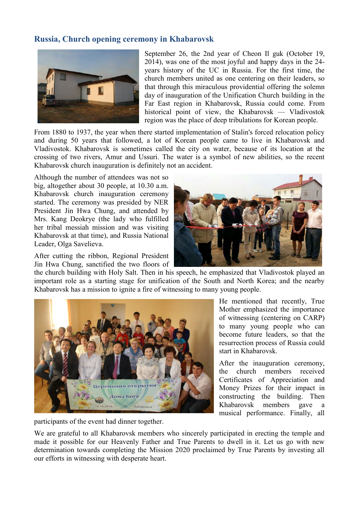# **Russia, Church opening ceremony in Khabarovsk**



September 26, the 2nd year of Cheon Il guk (October 19, 2014), was one of the most joyful and happy days in the 24 years history of the UC in Russia. For the first time, the church members united as one centering on their leaders, so that through this miraculous providential offering the solemn day of inauguration of the Unification Church building in the Far East region in Khabarovsk, Russia could come. From historical point of view, the Khabarovsk — Vladivostok region was the place of deep tribulations for Korean people.

From 1880 to 1937, the year when there started implementation of Stalin's forced relocation policy and during 50 years that followed, a lot of Korean people came to live in Khabarovsk and Vladivostok. Khabarovsk is sometimes called the city on water, because of its location at the crossing of two rivers, Amur and Ussuri. The water is a symbol of new abilities, so the recent Khabarovsk church inauguration is definitely not an accident.

Although the number of attendees was not so big, altogether about 30 people, at 10.30 a.m. Khabarovsk church inauguration ceremony started. The ceremony was presided by NER President Jin Hwa Chung, and attended by Mrs. Kang Deokrye (the lady who fulfilled her tribal messiah mission and was visiting Khabarovsk at that time), and Russia National Leader, Olga Savelieva.

After cutting the ribbon, Regional President Jin Hwa Chung, sanctified the two floors of



the church building with Holy Salt. Then in his speech, he emphasized that Vladivostok played an important role as a starting stage for unification of the South and North Korea; and the nearby Khabarovsk has a mission to ignite a fire of witnessing to many young people.



participants of the event had dinner together.

He mentioned that recently, True Mother emphasized the importance of witnessing (centering on CARP) to many young people who can become future leaders, so that the resurrection process of Russia could start in Khabarovsk.

After the inauguration ceremony, the church members received Certificates of Appreciation and Money Prizes for their impact in constructing the building. Then Khabarovsk members gave a musical performance. Finally, all

We are grateful to all Khabarovsk members who sincerely participated in erecting the temple and made it possible for our Heavenly Father and True Parents to dwell in it. Let us go with new determination towards completing the Mission 2020 proclaimed by True Parents by investing all our efforts in witnessing with desperate heart.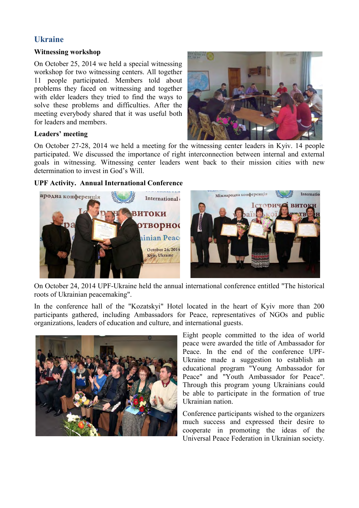# **Ukraine**

#### **Witnessing workshop**

On October 25, 2014 we held a special witnessing workshop for two witnessing centers. All together 11 people participated. Members told about problems they faced on witnessing and together with elder leaders they tried to find the ways to solve these problems and difficulties. After the meeting everybody shared that it was useful both for leaders and members.



#### **Leaders' meeting**

On October 27-28, 2014 we held a meeting for the witnessing center leaders in Kyiv. 14 people participated. We discussed the importance of right interconnection between internal and external goals in witnessing. Witnessing center leaders went back to their mission cities with new determination to invest in God's Will.

#### **UPF Activity. Annual International Conference**



On October 24, 2014 UPF-Ukraine held the annual international conference entitled "The historical roots of Ukrainian peacemaking".

In the conference hall of the "Kozatskyi" Hotel located in the heart of Kyiv more than 200 participants gathered, including Ambassadors for Peace, representatives of NGOs and public organizations, leaders of education and culture, and international guests.



Eight people committed to the idea of world peace were awarded the title of Ambassador for Peace. In the end of the conference UPF-Ukraine made a suggestion to establish an educational program "Young Ambassador for Peace" and "Youth Ambassador for Peace". Through this program young Ukrainians could be able to participate in the formation of true Ukrainian nation.

Conference participants wished to the organizers much success and expressed their desire to cooperate in promoting the ideas of the Universal Peace Federation in Ukrainian society.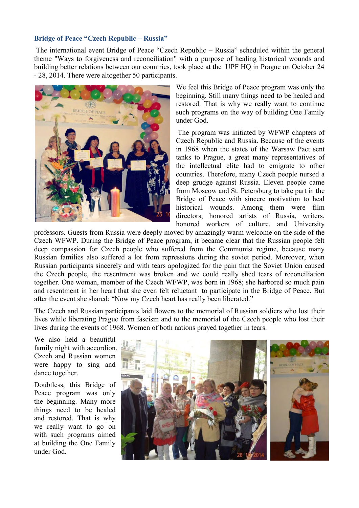#### **Bridge of Peace "Czech Republic – Russia"**

The international event Bridge of Peace "Czech Republic – Russia" scheduled within the general theme "Ways to forgiveness and reconciliation" with a purpose of healing historical wounds and building better relations between our countries, took place at the UPF HQ in Prague on October 24 - 28, 2014. There were altogether 50 participants.



We feel this Bridge of Peace program was only the beginning. Still many things need to be healed and restored. That is why we really want to continue such programs on the way of building One Family under God.

The program was initiated by WFWP chapters of Czech Republic and Russia. Because of the events in 1968 when the states of the Warsaw Pact sent tanks to Prague, a great many representatives of the intellectual elite had to emigrate to other countries. Therefore, many Czech people nursed a deep grudge against Russia. Eleven people came from Moscow and St. Petersburg to take part in the Bridge of Peace with sincere motivation to heal historical wounds. Among them were film directors, honored artists of Russia, writers, honored workers of culture, and University

professors. Guests from Russia were deeply moved by amazingly warm welcome on the side of the Czech WFWP. During the Bridge of Peace program, it became clear that the Russian people felt deep compassion for Czech people who suffered from the Communist regime, because many Russian families also suffered a lot from repressions during the soviet period. Moreover, when Russian participants sincerely and with tears apologized for the pain that the Soviet Union caused the Czech people, the resentment was broken and we could really shed tears of reconciliation together. One woman, member of the Czech WFWP, was born in 1968; she harbored so much pain and resentment in her heart that she even felt reluctant to participate in the Bridge of Peace. But after the event she shared: "Now my Czech heart has really been liberated."

The Czech and Russian participants laid flowers to the memorial of Russian soldiers who lost their lives while liberating Prague from fascism and to the memorial of the Czech people who lost their lives during the events of 1968. Women of both nations prayed together in tears.

We also held a beautiful family night with accordion. Czech and Russian women were happy to sing and dance together.

Doubtless, this Bridge of Peace program was only the beginning. Many more things need to be healed and restored. That is why we really want to go on with such programs aimed at building the One Family under God.

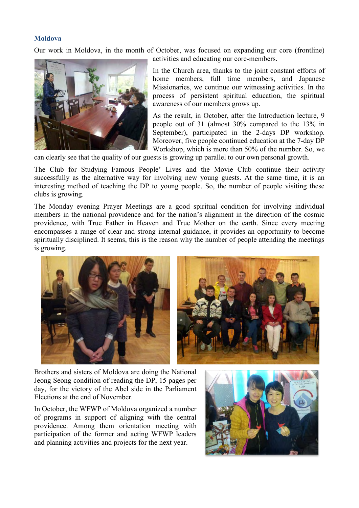#### **Moldova**

Our work in Moldova, in the month of October, was focused on expanding our core (frontline) activities and educating our core-members.



In the Church area, thanks to the joint constant efforts of home members, full time members, and Japanese Missionaries, we continue our witnessing activities. In the process of persistent spiritual education, the spiritual

As the result, in October, after the Introduction lecture, 9 people out of 31 (almost 30% compared to the 13% in September), participated in the 2-days DP workshop. Moreover, five people continued education at the 7-day DP Workshop, which is more than 50% of the number. So, we

can clearly see that the quality of our guests is growing up parallel to our own personal growth.

The Club for Studying Famous People' Lives and the Movie Club continue their activity successfully as the alternative way for involving new young guests. At the same time, it is an interesting method of teaching the DP to young people. So, the number of people visiting these clubs is growing.

The Monday evening Prayer Meetings are a good spiritual condition for involving individual members in the national providence and for the nation's alignment in the direction of the cosmic providence, with True Father in Heaven and True Mother on the earth. Since every meeting encompasses a range of clear and strong internal guidance, it provides an opportunity to become spiritually disciplined. It seems, this is the reason why the number of people attending the meetings is growing.



Brothers and sisters of Moldova are doing the National Jeong Seong condition of reading the DP, 15 pages per day, for the victory of the Abel side in the Parliament Elections at the end of November.

In October, the WFWP of Moldova organized a number of programs in support of aligning with the central providence. Among them orientation meeting with participation of the former and acting WFWP leaders and planning activities and projects for the next year.

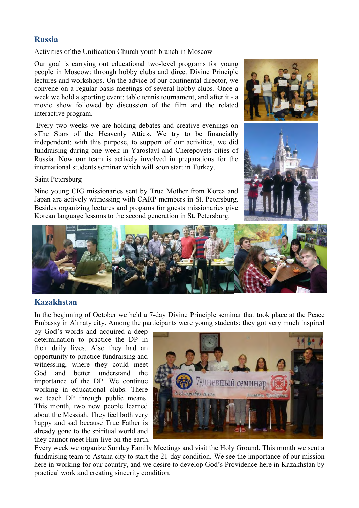#### **Russia**

Activities of the Unification Church youth branch in Moscow

Our goal is carrying out educational two-level programs for young people in Moscow: through hobby clubs and direct Divine Principle lectures and workshops. On the advice of our continental director, we convene on a regular basis meetings of several hobby clubs. Once a week we hold a sporting event: table tennis tournament, and after it - a movie show followed by discussion of the film and the related interactive program.

Every two weeks we are holding debates and creative evenings on «The Stars of the Heavenly Attic». We try to be financially independent; with this purpose, to support of our activities, we did fundraising during one week in Yaroslavl and Cherepovets cities of Russia. Now our team is actively involved in preparations for the international students seminar which will soon start in Turkey.

Saint Petersburg

Nine young CIG missionaries sent by True Mother from Korea and Japan are actively witnessing with CARP members in St. Petersburg. Besides organizing lectures and progams for guests missionaries give Korean language lessons to the second generation in St. Petersburg.





#### **Kazakhstan**

In the beginning of October we held a 7-day Divine Principle seminar that took place at the Peace Embassy in Almaty city. Among the participants were young students; they got very much inspired

by God's words and acquired a deep determination to practice the DP in their daily lives. Also they had an opportunity to practice fundraising and witnessing, where they could meet God and better understand the importance of the DP. We continue working in educational clubs. There we teach DP through public means. This month, two new people learned about the Messiah. They feel both very happy and sad because True Father is already gone to the spiritual world and they cannot meet Him live on the earth.



Every week we organize Sunday Family Meetings and visit the Holy Ground. This month we sent a fundraising team to Astana city to start the 21-day condition. We see the importance of our mission here in working for our country, and we desire to develop God's Providence here in Kazakhstan by practical work and creating sincerity condition.